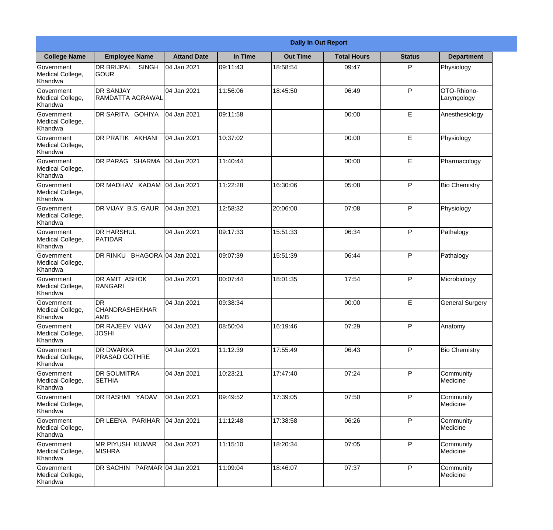|                                                  |                                            |                     |          | <b>Daily In Out Report</b> |                    |               |                            |
|--------------------------------------------------|--------------------------------------------|---------------------|----------|----------------------------|--------------------|---------------|----------------------------|
| <b>College Name</b>                              | <b>Employee Name</b>                       | <b>Attand Date</b>  | In Time  | <b>Out Time</b>            | <b>Total Hours</b> | <b>Status</b> | <b>Department</b>          |
| Government<br>Medical College,<br>Khandwa        | DR BRIJPAL<br><b>SINGH</b><br>IGOUR        | 04 Jan 2021         | 09:11:43 | 18:58:54                   | 09:47              | P             | Physiology                 |
| Government<br>Medical College,<br>Khandwa        | <b>DR SANJAY</b><br>RAMDATTA AGRAWAL       | 04 Jan 2021         | 11:56:06 | 18:45:50                   | 06:49              | P             | OTO-Rhiono-<br>Laryngology |
| Government<br>Medical College,<br>Khandwa        | DR SARITA GOHIYA                           | 04 Jan 2021         | 09:11:58 |                            | 00:00              | E             | Anesthesiology             |
| Government<br>Medical College,<br>Khandwa        | DR PRATIK AKHANI                           | 04 Jan 2021         | 10:37:02 |                            | 00:00              | E             | Physiology                 |
| Government<br>Medical College,<br>Khandwa        | DR PARAG SHARMA                            | 04 Jan 2021         | 11:40:44 |                            | 00:00              | E             | Pharmacology               |
| Government<br>Medical College,<br>Khandwa        | DR MADHAV KADAM 04 Jan 2021                |                     | 11:22:28 | 16:30:06                   | 05:08              | P             | <b>Bio Chemistry</b>       |
| <b>Government</b><br>Medical College,<br>Khandwa | DR VIJAY B.S. GAUR                         | 04 Jan 2021         | 12:58:32 | 20:06:00                   | 07:08              | P             | Physiology                 |
| Government<br>Medical College,<br>Khandwa        | <b>DR HARSHUL</b><br>PATIDAR               | 04 Jan 2021         | 09:17:33 | 15:51:33                   | 06:34              | P             | Pathalogy                  |
| <b>Government</b><br>Medical College,<br>Khandwa | DR RINKU                                   | BHAGORA 04 Jan 2021 | 09:07:39 | 15:51:39                   | 06:44              | P             | Pathalogy                  |
| Government<br>Medical College,<br>Khandwa        | <b>DR AMIT ASHOK</b><br><b>IRANGARI</b>    | 04 Jan 2021         | 00:07:44 | 18:01:35                   | 17:54              | P             | Microbiology               |
| Government<br>Medical College,<br>Khandwa        | IDR<br><b>CHANDRASHEKHAR</b><br><b>AMB</b> | 04 Jan 2021         | 09:38:34 |                            | 00:00              | E             | <b>General Surgery</b>     |
| Government<br>Medical College,<br>Khandwa        | <b>DR RAJEEV VIJAY</b><br><b>JOSHI</b>     | 04 Jan 2021         | 08:50:04 | 16:19:46                   | 07:29              | P             | Anatomy                    |
| Government<br>Medical College,<br>Khandwa        | <b>DR DWARKA</b><br><b>PRASAD GOTHRE</b>   | 04 Jan 2021         | 11:12:39 | 17:55:49                   | 06:43              | P             | <b>Bio Chemistry</b>       |
| Government<br>Medical College,<br>Khandwa        | <b>DR SOUMITRA</b><br><b>SETHIA</b>        | 04 Jan 2021         | 10:23:21 | 17:47:40                   | 07:24              | P             | Community<br>Medicine      |
| <b>Government</b><br>Medical College,<br>Khandwa | DR RASHMI YADAV                            | 04 Jan 2021         | 09:49:52 | 17:39:05                   | 07:50              | P             | Community<br>Medicine      |
| Government<br>Medical College,<br>Khandwa        | DR LEENA PARIHAR                           | 04 Jan 2021         | 11:12:48 | 17:38:58                   | 06:26              | P             | Community<br>Medicine      |
| Government<br>Medical College,<br>Khandwa        | MR PIYUSH KUMAR<br><b>MISHRA</b>           | 04 Jan 2021         | 11:15:10 | 18:20:34                   | 07:05              | P             | Community<br>Medicine      |
| Government<br>Medical College,<br>Khandwa        | DR SACHIN PARMAR 04 Jan 2021               |                     | 11:09:04 | 18:46:07                   | 07:37              | P             | Community<br>Medicine      |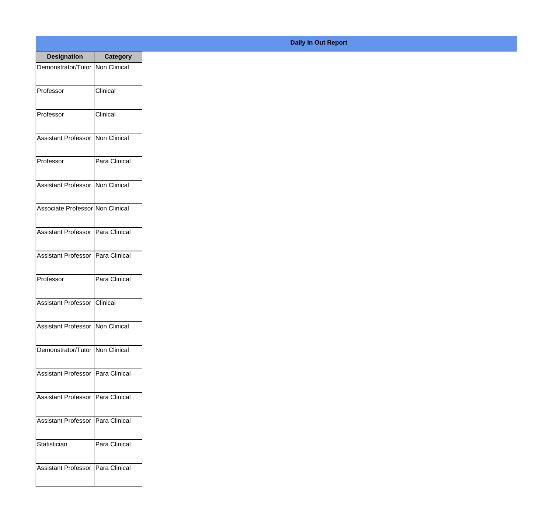| <b>Designation</b>                  | <b>Category</b> |
|-------------------------------------|-----------------|
| Demonstrator/Tutor   Non Clinical   |                 |
| Professor                           | Clinical        |
| Professor                           | Clinical        |
| <b>Assistant Professor</b>          | Non Clinical    |
| Professor                           | Para Clinical   |
| Assistant Professor   Non Clinical  |                 |
| Associate Professor Non Clinical    |                 |
| Assistant Professor   Para Clinical |                 |
| Assistant Professor   Para Clinical |                 |
| Professor                           | Para Clinical   |
| <b>Assistant Professor</b>          | Clinical        |
| Assistant Professor   Non Clinical  |                 |
| Demonstrator/Tutor   Non Clinical   |                 |
| Assistant Professor   Para Clinical |                 |
| <b>Assistant Professor</b>          | Para Clinical   |
| <b>Assistant Professor</b>          | Para Clinical   |
| Statistician                        | Para Clinical   |
| Assistant Professor   Para Clinical |                 |

**Daily In Out Report**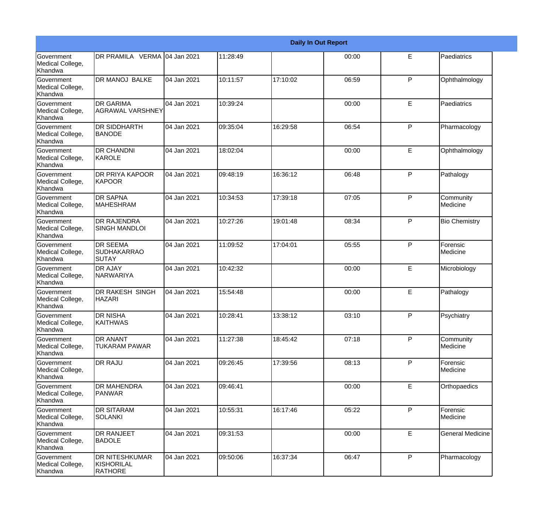|                                                         |                                                 |             |          |          | <b>Daily In Out Report</b> |              |                         |
|---------------------------------------------------------|-------------------------------------------------|-------------|----------|----------|----------------------------|--------------|-------------------------|
| <b>Government</b><br>Medical College,<br>Khandwa        | DR PRAMILA VERMA 04 Jan 2021                    |             | 11:28:49 |          | 00:00                      | E            | Paediatrics             |
| <b>Government</b><br>Medical College,<br>Khandwa        | <b>DR MANOJ BALKE</b>                           | 04 Jan 2021 | 10:11:57 | 17:10:02 | 06:59                      | $\mathsf{P}$ | Ophthalmology           |
| <b>Government</b><br>Medical College,<br>Khandwa        | <b>DR GARIMA</b><br>AGRAWAL VARSHNEY            | 04 Jan 2021 | 10:39:24 |          | 00:00                      | E            | Paediatrics             |
| Government<br>Medical College,<br>Khandwa               | <b>DR SIDDHARTH</b><br><b>BANODE</b>            | 04 Jan 2021 | 09:35:04 | 16:29:58 | 06:54                      | $\mathsf{P}$ | Pharmacology            |
| Government<br>Medical College,<br>Khandwa               | <b>DR CHANDNI</b><br>KAROLE                     | 04 Jan 2021 | 18:02:04 |          | 00:00                      | E            | Ophthalmology           |
| <b>Government</b><br>Medical College,<br><b>Khandwa</b> | <b>DR PRIYA KAPOOR</b><br><b>KAPOOR</b>         | 04 Jan 2021 | 09:48:19 | 16:36:12 | 06:48                      | $\mathsf{P}$ | Pathalogy               |
| Government<br>Medical College,<br>Khandwa               | <b>DR SAPNA</b><br><b>MAHESHRAM</b>             | 04 Jan 2021 | 10:34:53 | 17:39:18 | 07:05                      | P            | Community<br>Medicine   |
| Government<br>Medical College,<br>Khandwa               | <b>DR RAJENDRA</b><br><b>SINGH MANDLOI</b>      | 04 Jan 2021 | 10:27:26 | 19:01:48 | 08:34                      | P            | <b>Bio Chemistry</b>    |
| Government<br>Medical College,<br>Khandwa               | <b>DR SEEMA</b><br><b>SUDHAKARRAO</b><br>ISUTAY | 04 Jan 2021 | 11:09:52 | 17:04:01 | 05:55                      | ${\sf P}$    | Forensic<br>Medicine    |
| <b>Government</b><br>Medical College,<br>Khandwa        | <b>DR AJAY</b><br>NARWARIYA                     | 04 Jan 2021 | 10:42:32 |          | 00:00                      | E            | Microbiology            |
| <b>Government</b><br>Medical College,<br>Khandwa        | <b>DR RAKESH SINGH</b><br><b>HAZARI</b>         | 04 Jan 2021 | 15:54:48 |          | 00:00                      | E            | Pathalogy               |
| Government<br>Medical College,<br>Khandwa               | <b>DR NISHA</b><br><b>KAITHWAS</b>              | 04 Jan 2021 | 10:28:41 | 13:38:12 | 03:10                      | $\mathsf{P}$ | Psychiatry              |
| <b>Government</b><br>Medical College,<br>Khandwa        | DR ANANT<br><b>TUKARAM PAWAR</b>                | 04 Jan 2021 | 11:27:38 | 18:45:42 | 07:18                      | P            | Community<br>Medicine   |
| Government<br>Medical College,<br>Khandwa               | DR RAJU                                         | 04 Jan 2021 | 09:26:45 | 17:39:56 | 08:13                      | P            | Forensic<br>Medicine    |
| Government<br>Medical College,<br>Khandwa               | <b>DR MAHENDRA</b><br><b>PANWAR</b>             | 04 Jan 2021 | 09:46:41 |          | 00:00                      | E            | Orthopaedics            |
| Government<br>Medical College,<br>Khandwa               | <b>DR SITARAM</b><br><b>SOLANKI</b>             | 04 Jan 2021 | 10:55:31 | 16:17:46 | 05:22                      | $\mathsf{P}$ | Forensic<br>Medicine    |
| Government<br>Medical College,<br>Khandwa               | DR RANJEET<br><b>BADOLE</b>                     | 04 Jan 2021 | 09:31:53 |          | 00:00                      | E            | <b>General Medicine</b> |
| Government<br>Medical College,<br>Khandwa               | DR NITESHKUMAR<br>KISHORILAL<br><b>RATHORE</b>  | 04 Jan 2021 | 09:50:06 | 16:37:34 | 06:47                      | P            | Pharmacology            |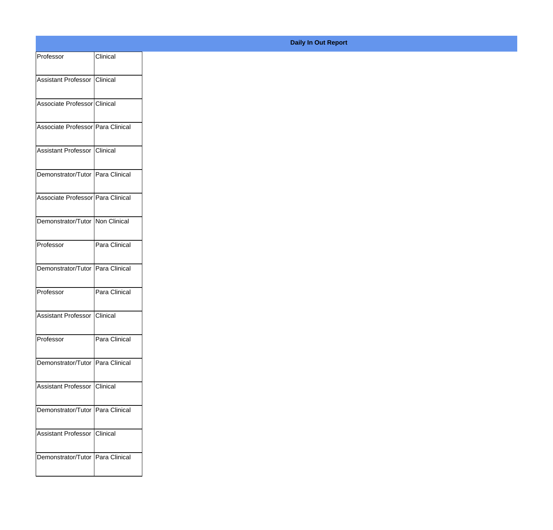| Clinical<br>Professor<br>Assistant Professor Clinical<br>Associate Professor Clinical |
|---------------------------------------------------------------------------------------|
|                                                                                       |
|                                                                                       |
|                                                                                       |
|                                                                                       |
| Associate Professor Para Clinical                                                     |
|                                                                                       |
| Assistant Professor Clinical                                                          |
| Demonstrator/Tutor Para Clinical                                                      |
|                                                                                       |
| Associate Professor Para Clinical                                                     |
| Demonstrator/Tutor Non Clinical                                                       |
|                                                                                       |
| Para Clinical<br>Professor                                                            |
| Demonstrator/Tutor Para Clinical                                                      |
|                                                                                       |
| Para Clinical<br>Professor                                                            |
| Assistant Professor Clinical                                                          |
|                                                                                       |
| Para Clinical<br>Professor                                                            |
| Demonstrator/Tutor Para Clinical                                                      |
|                                                                                       |
| Assistant Professor Clinical                                                          |
| Demonstrator/Tutor Para Clinical                                                      |
|                                                                                       |
| Assistant Professor Clinical                                                          |
| Demonstrator/Tutor Para Clinical                                                      |
|                                                                                       |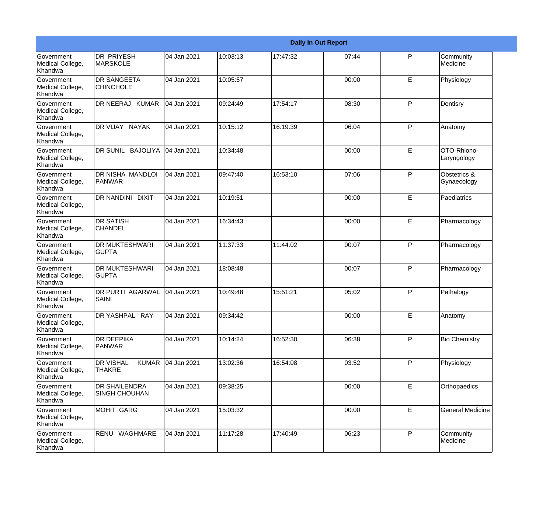|                                                  |                                                   |             |          |          | <b>Daily In Out Report</b> |              |                             |
|--------------------------------------------------|---------------------------------------------------|-------------|----------|----------|----------------------------|--------------|-----------------------------|
| <b>Government</b><br>Medical College,<br>Khandwa | <b>DR PRIYESH</b><br><b>MARSKOLE</b>              | 04 Jan 2021 | 10:03:13 | 17:47:32 | 07:44                      | P            | Community<br>Medicine       |
| Government<br>Medical College,<br>Khandwa        | <b>DR SANGEETA</b><br><b>CHINCHOLE</b>            | 04 Jan 2021 | 10:05:57 |          | 00:00                      | E            | Physiology                  |
| <b>Government</b><br>Medical College,<br>Khandwa | DR NEERAJ KUMAR                                   | 04 Jan 2021 | 09:24:49 | 17:54:17 | 08:30                      | P            | Dentisry                    |
| <b>Government</b><br>Medical College,<br>Khandwa | DR VIJAY NAYAK                                    | 04 Jan 2021 | 10:15:12 | 16:19:39 | 06:04                      | $\mathsf{P}$ | Anatomy                     |
| Government<br>Medical College,<br>Khandwa        | DR SUNIL BAJOLIYA                                 | 04 Jan 2021 | 10:34:48 |          | 00:00                      | E            | OTO-Rhiono-<br>Laryngology  |
| Government<br>Medical College,<br>Khandwa        | DR NISHA MANDLOI<br>PANWAR                        | 04 Jan 2021 | 09:47:40 | 16:53:10 | 07:06                      | P            | Obstetrics &<br>Gynaecology |
| <b>Government</b><br>Medical College,<br>Khandwa | DR NANDINI DIXIT                                  | 04 Jan 2021 | 10:19:51 |          | 00:00                      | E            | Paediatrics                 |
| Government<br>Medical College,<br>Khandwa        | <b>DR SATISH</b><br><b>CHANDEL</b>                | 04 Jan 2021 | 16:34:43 |          | 00:00                      | E            | Pharmacology                |
| <b>Government</b><br>Medical College,<br>Khandwa | <b>DR MUKTESHWARI</b><br><b>GUPTA</b>             | 04 Jan 2021 | 11:37:33 | 11:44:02 | 00:07                      | $\mathsf{P}$ | Pharmacology                |
| Government<br>Medical College,<br>Khandwa        | <b>DR MUKTESHWARI</b><br><b>GUPTA</b>             | 04 Jan 2021 | 18:08:48 |          | 00:07                      | P            | Pharmacology                |
| Government<br>Medical College,<br>Khandwa        | <b>DR PURTI AGARWAL</b><br>SAINI                  | 04 Jan 2021 | 10:49:48 | 15:51:21 | 05:02                      | P            | Pathalogy                   |
| Government<br>Medical College,<br>Khandwa        | DR YASHPAL RAY                                    | 04 Jan 2021 | 09:34:42 |          | 00:00                      | E            | Anatomy                     |
| Government<br>Medical College,<br>Khandwa        | <b>DR DEEPIKA</b><br><b>PANWAR</b>                | 04 Jan 2021 | 10:14:24 | 16:52:30 | 06:38                      | $\mathsf{P}$ | <b>Bio Chemistry</b>        |
| Government<br>Medical College,<br>Khandwa        | <b>DR VISHAL</b><br><b>KUMAR</b><br><b>THAKRE</b> | 04 Jan 2021 | 13:02:36 | 16:54:08 | 03:52                      | P            | Physiology                  |
| Government<br>Medical College,<br>Khandwa        | <b>DR SHAILENDRA</b><br><b>SINGH CHOUHAN</b>      | 04 Jan 2021 | 09:38:25 |          | 00:00                      | E            | Orthopaedics                |
| Government<br>Medical College,<br>Khandwa        | <b>MOHIT GARG</b>                                 | 04 Jan 2021 | 15:03:32 |          | 00:00                      | E            | <b>General Medicine</b>     |
| Government<br>Medical College,<br>Khandwa        | RENU WAGHMARE                                     | 04 Jan 2021 | 11:17:28 | 17:40:49 | 06:23                      | P            | Community<br>Medicine       |